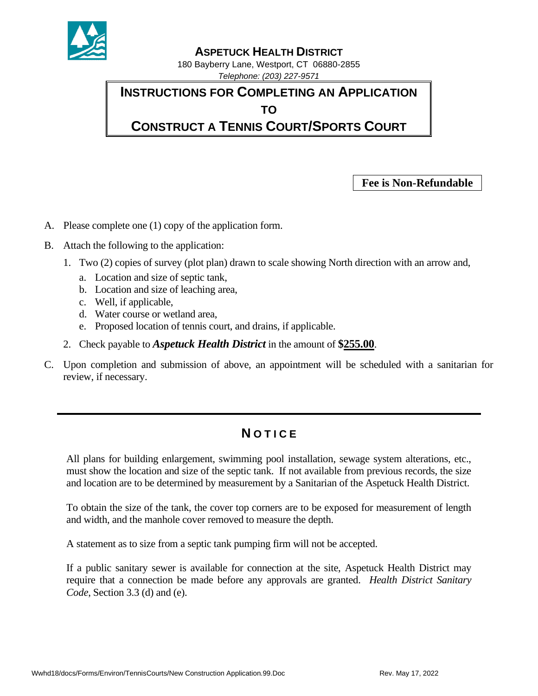

## **ASPETUCK HEALTH DISTRICT**

180 Bayberry Lane, Westport, CT 06880-2855 *Telephone: (203) 227-9571*

**INSTRUCTIONS FOR COMPLETING AN APPLICATION TO CONSTRUCT A TENNIS COURT/SPORTS COURT**

**Fee is Non-Refundable**

- A. Please complete one (1) copy of the application form.
- B. Attach the following to the application:
	- 1. Two (2) copies of survey (plot plan) drawn to scale showing North direction with an arrow and,
		- a. Location and size of septic tank,
		- b. Location and size of leaching area,
		- c. Well, if applicable,
		- d. Water course or wetland area,
		- e. Proposed location of tennis court, and drains, if applicable.
	- 2. Check payable to *Aspetuck Health District* in the amount of **\$255.00**.
- C. Upon completion and submission of above, an appointment will be scheduled with a sanitarian for review, if necessary.

## **N O T I C E**

All plans for building enlargement, swimming pool installation, sewage system alterations, etc., must show the location and size of the septic tank. If not available from previous records, the size and location are to be determined by measurement by a Sanitarian of the Aspetuck Health District.

To obtain the size of the tank, the cover top corners are to be exposed for measurement of length and width, and the manhole cover removed to measure the depth.

A statement as to size from a septic tank pumping firm will not be accepted.

If a public sanitary sewer is available for connection at the site, Aspetuck Health District may require that a connection be made before any approvals are granted. *Health District Sanitary Code*, Section 3.3 (d) and (e).